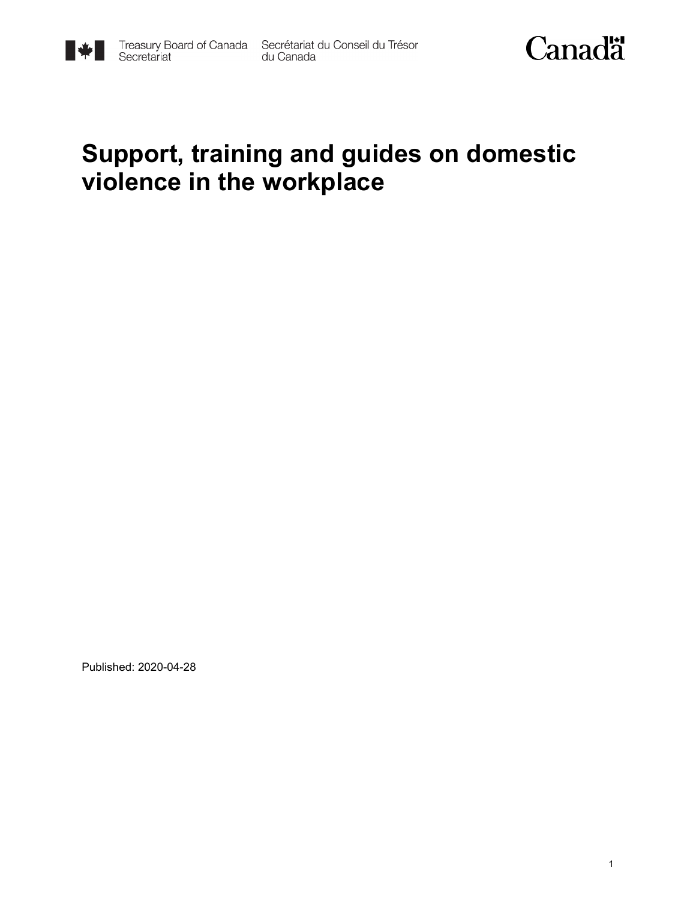



### **Support, training and guides on domestic violence in the workplace**

Published: 2020-04-28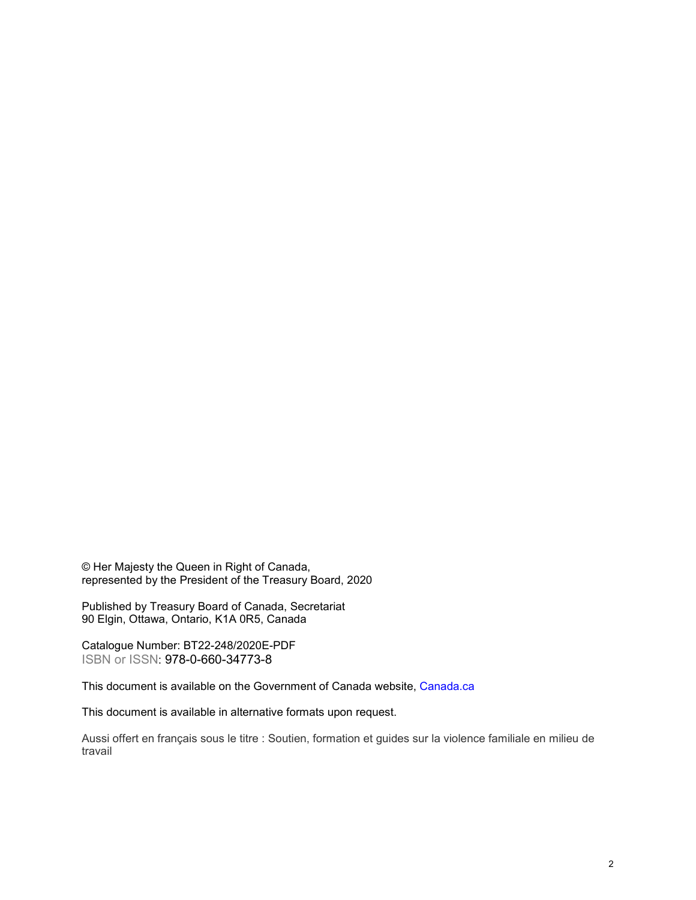© Her Majesty the Queen in Right of Canada, represented by the President of the Treasury Board, 2020

Published by Treasury Board of Canada, Secretariat 90 Elgin, Ottawa, Ontario, K1A 0R5, Canada

Catalogue Number: BT22-248/2020E-PDF ISBN or ISSN: 978-0-660-34773-8

This document is available on the Government of Canada website, [Canada.](https://www.canada.ca/en.html)ca

This document is available in alternative formats upon request.

Aussi offert en français sous le titre : Soutien, formation et guides sur la violence familiale en milieu de travail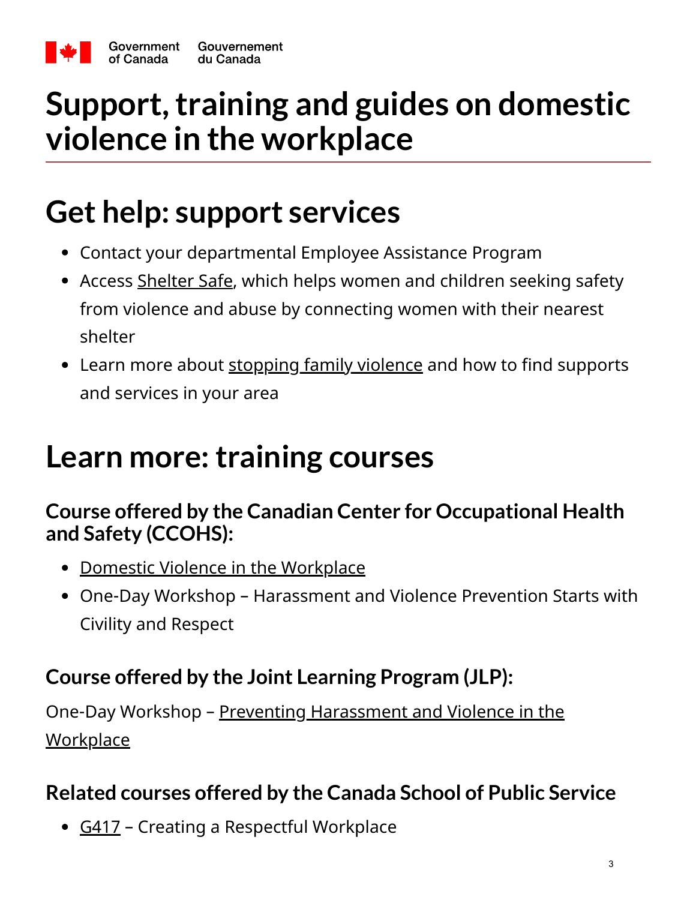

## **Support, training and guides on domestic violence in the workplace**

## **Get help: support services**

- Contact your departmental Employee Assistance Program
- Access [Shelter Safe,](https://www.sheltersafe.ca/) which helps women and children seeking safety from violence and abuse by connecting women with their nearest shelter
- Learn more about [stopping family violence](https://canada-preview.adobecqms.net/en/public-health/services/health-promotion/stop-family-violence.html) and how to find supports and services in your area

## **Learn more: training courses**

#### **Course offered by the Canadian Center for Occupational Health and Safety (CCOHS):**

- [Domestic Violence in the Workplace](https://www.ccohs.ca/products/courses/domestic_violence/)
- One-Day Workshop Harassment and Violence Prevention Starts with Civility and Respect

#### **Course offered by the Joint Learning Program (JLP):**

[One-Day Workshop – Preventing Harassment and Violence in the](https://www.jlp-pam.ca/phvw-phvt-eng) **Workplace** 

#### **Related courses offered by the Canada School of Public Service**

• [G417](https://www.csps-efpc.gc.ca/Catalogue/courses-eng.aspx?code=G417) - Creating a Respectful Workplace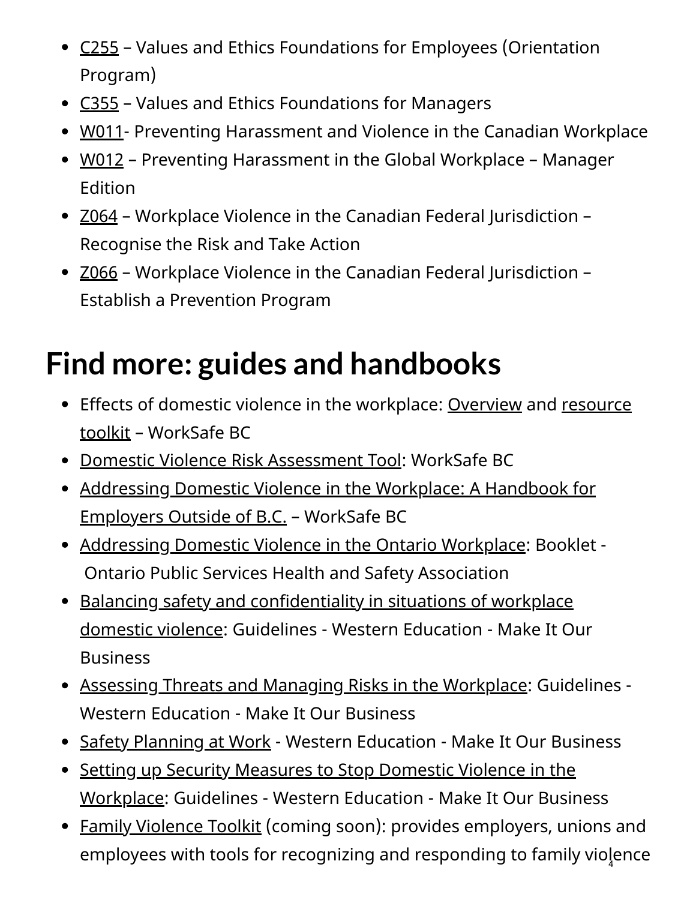- [C255](https://www.csps-efpc.gc.ca/Catalogue/courses-eng.aspx?code=C255)  Values and Ethics Foundations for Employees (Orientation Program)
- [C355](https://www.csps-efpc.gc.ca/Catalogue/courses-eng.aspx?code=C355)  Values and Ethics Foundations for Managers
- [W011-](https://www.csps-efpc.gc.ca/Catalogue/courses-eng.aspx?code=W011) Preventing Harassment and Violence in the Canadian Workplace
- [W012](https://www.csps-efpc.gc.ca/Catalogue/courses-eng.aspx?code=W012)  Preventing Harassment in the Global Workplace Manager Edition
- [Z064](https://www.csps-efpc.gc.ca/Catalogue/courses-eng.aspx?code=Z064) Workplace Violence in the Canadian Federal Jurisdiction Recognise the Risk and Take Action
- [Z066](https://www.csps-efpc.gc.ca/Catalogue/courses-eng.aspx?code=Z066) Workplace Violence in the Canadian Federal Jurisdiction -Establish a Prevention Program

# **Find more: guides and handbooks**

- [Effects of domestic violence in the workplace: O](https://www.worksafebc.com/en/health-safety/hazards-exposures/violence/domestic-violence/resource-toolkit)[verview](https://www.worksafebc.com/en/resources/health-safety/information-sheets/domestic-violence-in-the-workplace-what-is-domestic-violence?lang=en&origin=s&returnurl=https%3A%2F%2Fwww.worksafebc.com%2Fen%2Fforms-resources%23q%3Ddomestic%2520violence%26sort%3Drelevancy%26f%3Alanguage-facet%3D%5BEnglish%5D) [and resource](https://www.worksafebc.com/en/health-safety/hazards-exposures/violence/domestic-violence/resource-toolkit) toolkit – WorkSafe BC
- [Domestic Violence Risk Assessment Tool:](https://www.worksafebc.com/en/resources/health-safety/information-sheets/domestic-violence-risk-assessment-tool?lang=en&origin=s&returnurl=https%3A%2F%2Fwww.worksafebc.com%2Fen%2Fsearch%23q%3Ddomestic%2520violence%2520a%2520risk%2520assessment%2520tool%26sort%3Drelevancy%26f%3Alanguage-facet%3D%5BEnglish%5D) WorkSafe BC
- [Addressing Domestic Violence in the Workplace: A Handbook for](https://www.worksafebc.com/en/resources/health-safety/books-guides/addressing-domestic-violence-in-the-workplace-a-handbook-for-employers-outside-of-bc?lang=en) Employers Outside of B.C. – WorkSafe BC
- [Addressing Domestic Violence in the Ontario Workplace:](https://www.pshsa.ca/products/addressing-domestic-violence-in-the-workplace/) Booklet -Ontario Public Services Health and Safety Association
- Balancing safety and confidentiality in situations of workplace [domestic violence: Guidelines - Western Education - Make It O](https://drive.google.com/file/d/1MF-CVHOKpb-dVnkac0Id2afv6EtB3ehV/view)ur Business
- [Assessing Threats and Managing Risks in the Workplace:](https://drive.google.com/file/d/1rNRDudtqAW4xAi8Dha4cacsrqK_s55SQ/view?usp=sharing) Guidelines Western Education - Make It Our Business
- [Safety Planning at Work](https://drive.google.com/file/d/12FG8sxzXWqNXIDdY6QRJodyWHwUwuVXi/view?usp=sharing) Western Education Make It Our Business
- Setting up Security Measures to Stop Domestic Violence in the [Workplace: Guidelines - Western Education - Make It Our Busin](https://drive.google.com/file/d/1bKc95JFK3Qfn0HqYS-0RjnNBCjaHUVyK/view?usp=sharing)ess
- [Family Violence Toolkit](http://www.toolkitnb.ca/) (coming soon): provides employers, unions and employees with tools for recognizing and responding to family viol $_{\textrm{\scriptsize{q}}}$ ence